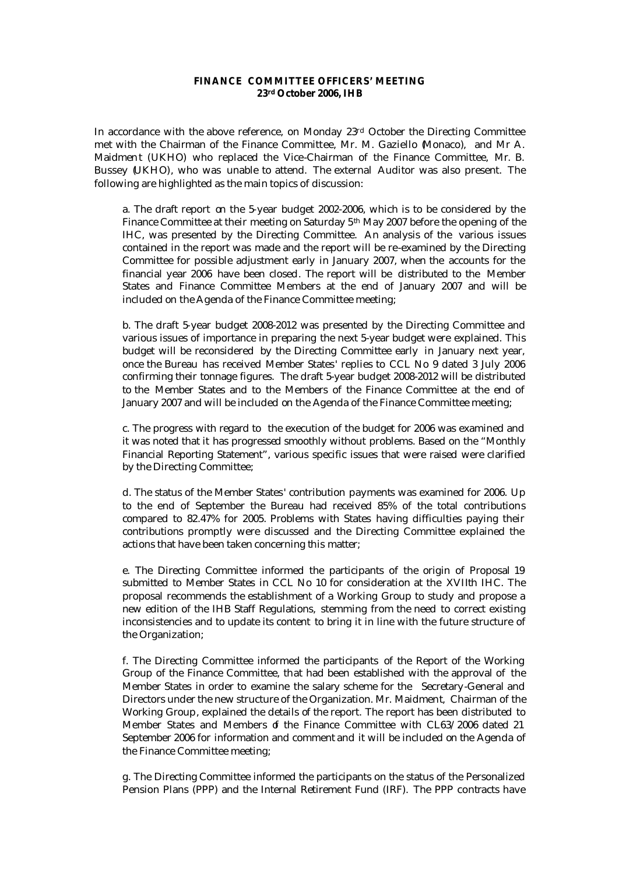## **FINANCE COMMITTEE OFFICERS' MEETING 23rd October 2006, IHB**

In accordance with the above reference, on Monday 23rd October the Directing Committee met with the Chairman of the Finance Committee, Mr. M. Gaziello (Monaco), and Mr A. Maidment (UKHO) who replaced the Vice-Chairman of the Finance Committee, Mr. B. Bussey (UKHO), who was unable to attend. The external Auditor was also present. The following are highlighted as the main topics of discussion:

a. The draft report on the 5-year budget 2002-2006, which is to be considered by the Finance Committee at their meeting on Saturday 5<sup>th</sup> May 2007 before the opening of the IHC, was presented by the Directing Committee. An analysis of the various issues contained in the report was made and the report will be re-examined by the Directing Committee for possible adjustment early in January 2007, when the accounts for the financial year 2006 have been closed. The report will be distributed to the Member States and Finance Committee Members at the end of January 2007 and will be included on the Agenda of the Finance Committee meeting;

b. The draft 5-year budget 2008-2012 was presented by the Directing Committee and various issues of importance in preparing the next 5-year budget were explained. This budget will be reconsidered by the Directing Committee early in January next year, once the Bureau has received Member States' replies to CCL No 9 dated 3 July 2006 confirming their tonnage figures. The draft 5-year budget 2008-2012 will be distributed to the Member States and to the Members of the Finance Committee at the end of January 2007 and will be included on the Agenda of the Finance Committee meeting;

c. The progress with regard to the execution of the budget for 2006 was examined and it was noted that it has progressed smoothly without problems. Based on the "Monthly Financial Reporting Statement", various specific issues that were raised were clarified by the Directing Committee;

d. The status of the Member States' contribution payments was examined for 2006. Up to the end of September the Bureau had received 85% of the total contributions compared to 82.47% for 2005. Problems with States having difficulties paying their contributions promptly were discussed and the Directing Committee explained the actions that have been taken concerning this matter;

e. The Directing Committee informed the participants of the origin of Proposal 19 submitted to Member States in CCL No 10 for consideration at the XVIIth IHC. The proposal recommends the establishment of a Working Group to study and propose a new edition of the IHB Staff Regulations, stemming from the need to correct existing inconsistencies and to update its content to bring it in line with the future structure of the Organization;

f. The Directing Committee informed the participants of the Report of the Working Group of the Finance Committee, that had been established with the approval of the Member States in order to examine the salary scheme for the Secretary-General and Directors under the new structure of the Organization. Mr. Maidment, Chairman of the Working Group, explained the details of the report. The report has been distributed to Member States and Members of the Finance Committee with CL63/2006 dated 21 September 2006 for information and comment and it will be included on the Agenda of the Finance Committee meeting;

g. The Directing Committee informed the participants on the status of the Personalized Pension Plans (PPP) and the Internal Retirement Fund (IRF). The PPP contracts have